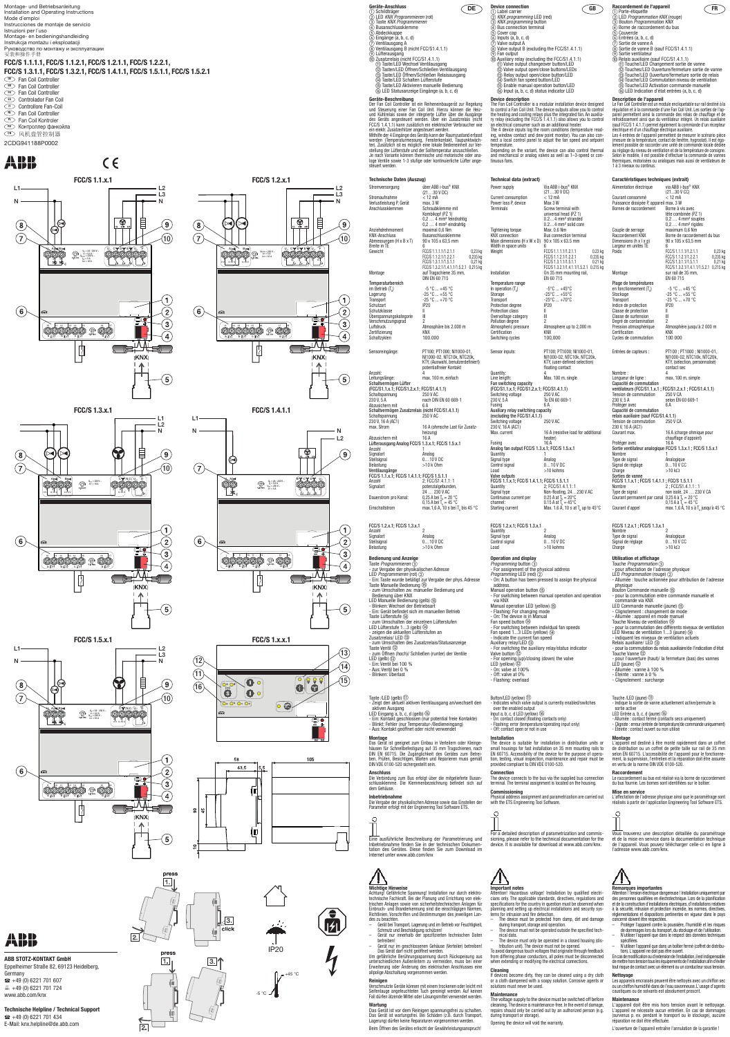# **ABB STOTZ-KONTAKT GmbH**

Eppelheimer Straße 82, 69123 Heidelberg, Germany  $\bullet$  +49 (0) 6221 701 607  $\equiv$  +49 (0) 6221 701 724 www.abb.com/knx

# **Technische Helpline / Technical Support**  $\bullet$  +49 (0) 6221 701 434 E-Mail: knx.helpline@de.abb.com



 $(11)$ 

Montage- und Betriebsanleitung<br>
Installation and Operating Instructions<br> **Mode d'emploi** (and a LED *FRO COLED EXAX Programmieren* (roth (and a Leo LED *KNX programming* LED (red) (and a Leo LED *FRO COLED Programmation KN* Installation and Operating Instructions Mode d´emploi Instrucciones de montaje de servicio Istruzioni per l´uso Montage- en bedieningshandleiding Instrukcja montażu i eksploatacji Руководство по монтажу и эксплуатации 安装和操作手册 **FCC/S 1.1.1.1, FCC/S 1.1.2.1, FCC/S 1.2.1.1, FCC/S 1.2.2.1, FCC/S 1.3.1.1, FCC/S 1.3.2.1, FCC/S 1.4.1.1, FCC/S 1.5.1.1, FCC/S 1.5.2.1 DE** Fan Coil Controller **EN** Fan Coil Controller FRIED Fan Coil Controller **ES** Controlador Fan Coil **IT** Controllore Fan-Coil **NL** Fan Coil Controller **PL** Fan Coil Kontroler

**RU** Контроллер фанкойла

**CN** 风机盘管控制器

**Technische Daten (Auszug)** Stromversorgung über ABB i-bus® KNX (21…30 V DC) Stromaufnahme < 12 mA Verlustleistung P, Gerät<br>Anschlussklemmen Schraubklemme mit Kombikopf (PZ 1) 0,2 … 4 mm² feindrahtig 0,2 … 4 mm² eindrahtig Anziehdrehmoment maximal 0,6 Nm KNX-Anschluss Busanschlussklemme Abmessungen  $(H \times B \times T)$  90 x 105 x 63.5 mm Breite in TE 6 Gewicht FCC/S 1.1.1.1/1.2.1.1 0,23 kg<br>FCC/S 1.1.2.1/1.2.2.1 0,235 kg<br>FCC/S 1.3.1.1/1.5.1.1 0,21 kg<br>FCC/S 1.3.2.1/1.4.1.1/1.5.2.1 0,215 kg Montage auf Tragschiene 35 mm, DIN EN 60 715 Temperaturbereich<br>im Betrieb (T<sub>u</sub>) im Betrieb  $(T_u)$ <br>
Lagerung  $-5^\circ C ... +45^\circ C$ <br>
Lagerung  $-25^\circ C ... +55^\circ C$ Lagerung -25 °C ... +55 °C Transport -25 °C ... +70 °C Transport<br>Schutzart<br>Schutzklasse Schutzklasse II Überspannungskategorie III Verschmutzungsgrad Atmosphäre bis 2.000 m Luftdruck 355 Atmosphä<br>Zertifizierung KNX<br>Schaltzyklen 100.000 Schaltzykler **Geräte-Anschluss** a Schildträger b LED *KNX Programmieren* (rot) c Taste *KNX Programmieren* d Busanschlussklemme e Abdeckkappe Eingänge (a, b, c, d) Ventilausgang A Ventilausgang B (nicht FCC/S1.4.1.1) Lüfterausgang Zusatzrelais (nicht FCC/S1.4.1.1) Taste/LED Wechsel Ventilausgang Tasten/LED Öffnen/Schließen Ventilausgang Taste/LED Öffnen/Schließen Relaisausgang Taste/LED Schalten Lüfterstufe Taste/LED Aktivieren manuelle Bedienung LED Statusanzeige Eingänge (a, b, c, d) **Geräte-Beschreibung**<br>Der Fan Coil Controller ist ein Reiheneinbaugerät zur Regelung<br>und Steuerung einer Fan Coil Unit. Hierzu können die Heiz-<br>und Kühlrelais sowie der integrierte Lüfter über die Ausgänge<br>des Geräts anges ein elektr. Zusatzerhitzer angesteuert werden.<br>Mithilfe der 4 Eingänge des Geräts kann der Raumzustand erfasst<br>werden (Temperaturmessung, Fensterkontakt, Taupunktwäch-<br>ter). Zusätzlich ist es möglich eine lokale Bediene stellung der Lüfterstufe und der Solltemperatur anzuschließen.<br>Je nach Variante können thermische und motorische oder ana-<br>loge Ventile sowie 1-3 stufige oder kontinuierliche Lüfter angesteuert werden. Sensoreingänge: PT100; PT1000; NI1000-01 NI1000-02, NTC10k, NTC20k, KTY, (Auswahl, benutzerdefiniert) potentialfreier Kontakt Anzahl: 4 Leitungslänge: max. 100 m, einfach Schaltvermögen Lüfter (FCC/S1.1.x.1; FCC/S1.2.x.1; FCC/S1.4.1.1) Schaltspannung 250 V AC<br>230 V, 5 A nach DIN  $\frac{230 \text{ N}}{6 \text{ A}}$  CN 60 669-1 Abzusichern mit<br>Schaltvermögen Zusatz elais (nicht FCC/S1.4.1.1) Schaltspannung 250 V AC 230 V, 16 A (AC1) max. Strom 16 A (ohmsche Last für Zusatzheizung)<br>16 A Abzusichern mit 16 A Lüfterausgang Analog FCC/S 1.3.x.1; FCC/S 1.5.x.1 Anzahl 1<br>Signalart 1<br>Analog Signalart<br>Stellsignal<br>Belastung Stellsignal 0…10 V DC Belastung >10 k Ohm Ventilausgänge FCC/S 1.1.x.1; FCC/S 1.4.1.1; FCC/S 1.5.1.1 Anzahl 2; FCC/S1.4.1.1: 1<br>
Signalart potenzialgebunde Signalart potenzialgebunden, 24 … 230 V AC Dauerstrom pro Kanal: 0,25 A bei Tu = 20 °C 0,15 A bei Tu = 45 °C Einschaltstrom max.1,6 A, 10 s bei Tu bis 45 °C FCC/S 1.2.x.1; FCC/S 1.3.x.1 Anzahl 2 Signalart<br>Stellsignal Signalart Analog<br>Stellsignal 0…10 V DC<br>Belastung >10 k Ohm  $>10$  k Ohm **Bedienung und Anzeige**

Taste *Programmieren* ③<br>- zur Vergabe der physikalischen Adresse<br>LED *Programmieren* (rot) ②<br>- Ein: Taste wurde betätigt zur Vergabe der phys. Adresse Taste Manuelle Bedienung  $\circledS$ - zum Umschalten zw. manueller Bedienung und Bedienung über KNX LED Manuelle Bedienung (gelb) - Blinken: Wechsel der Betriebsart - Ein: Gerät befindet sich im manuellen Betrieb Taste Lüfterstufe - zum Umschalten der einzelnen Lüfterstufen LED Lüfterstufe 1...3 (gelb) - zeigen die aktuellen Lüfterstufen an Zusatzrelais/ LED - zum Umschalten des Zusatzrelais/Statusanzeige Taste Ventil - zum Öffnen (hoch)/ Schließen (runter) der Ventile LED (gelb) - Ein: Ventil bei 100 % - Aus: Ventil bei 0 % Blinken: Überlast

/ I \ **Wichtige Hinweise**

2CDG941188P0002

ABB



**FCC/S 1.1.x.1 FCC/S 1.2.x.1** L1  $L<sub>2</sub>$ L3 N N  $\circledast$ 目  $\left( \mathbf{8}\right)$  $(\mathsf{9})$  $\binom{7}{ }$  $(10)$ ooo Un C∑ DYEYIU⊿ F  $U_n = 24 - 230 V ~$ <br>  $V_n = 0.5 A$ <br>  $V_{n1} = 230 V ~$ <br>  $V_{n1} = 5 A$  $U_{n1/2} = 230 V -$ <br> $I_{n1} = 5 A$ <br> $I_{n2} = 16 A$ \_ 埜 杢 <u> 7 7 7 7 7 </u> 4  $\overline{1}$  $(6)$  $\mathbf{2}^{\mathbf{2}}$ Ò.  $\left(3\right)$ 10 11 12 13 14 15 16 17  $\overline{4}$ a.∦/∤ b.∦/∤ c d ΛД ∯ 3) **IKNXI**  $\uparrow$  $(5)$ 

 $C \in$ 

Power supply Via ABB i-bus® KNX (21…30 V DC) Current consumption < 12 mA Power loss P, device Max 3 W Terminals Screw terminal with

Main dimensions  $(H \times W \times D)$  90 x 105 x 63.5 mm

universal head (PZ 1) 0.2…4 mm² stranded 0.2...4 mm<sup>2</sup> solid core<br>Max. 0.6 Nm

**Bus connection terminal** 

Atmosphere up to 2,000 m

version FCC/S 1.1.1.1/1.2.1.1 0.23 kg<br>FCC/S 1.1.2.1/1.2.2.1 0.235 kg FCC/S 1.1.2.1/1.2.2.1 0.235 kg FCC/S 1.3.1.1/1.5.1.1 0.21 kg FCC/S 1.3.2.1/1.4.1.1/1.5.2.1 0.215 kg

In operation  $(T_u)$ <br>Storage  $-25^{\circ}C ... +45^{\circ}C$ <br> $-25^{\circ}C ... +55^{\circ}C$ Storage -25°C ... +55°C Transport -25°C ... +70°C

Atmospheric pressure<br>
Certification<br>
Certification KNX<br>
Switching cycles 100.000

**Device description**<br>The Fan Coil Controller is a modular installation device designed<br>to control a Fan Coil Unit. The device outputs allow you to control<br>the heating and cooling relays plus the integrated fan. An auxilia-The 4 device inputs log the room conditions (temperature read-<br>ing, window contact and dew point monitor). You can also con-<br>nect a local control panel to adjust the fan speed and setpoint

Achtung! Gefährliche Spannung! Installation nur durch elektro-technische Fachkraft. Bei der Planung und Errichtung von elek-trischen Anlagen sowie von sicherheitstechnischen Anlagen für Einbruch- und Branderkennung sind die einschlägigen Normen, Richtlinien, Vorschriften und Bestimmungen des jeweiligen Lan-

- Gerät bei Transport, Lagerung und im Betrieb vor Feuchtigkeit, Schmutz und Beschädigung schützen! Gerät nur innerhalb der spezifizierten technischen Daten
- betreiben!
- 
- des zu beachten.
- 
- Gerät nur im geschlossenen Gehäuse (Verteiler) betreiben! Das Gerät darf nicht geöffnet werden.

Max. current 16 A (resistive load for additional heater)

Fusing 16 A Analog fan output FCC/S 1.3.x.1; FCC/S 1.5.x.1 Quantity 1 Signal type <br>
Control signal 
and  $0...10$  V DC

Signal type **Non-floating, 24…230 V AC**<br>Continuous current per 0.25 A at  $T_u = 20^{\circ}C$ 

Um gefährliche Berührungsspannung durch Rückspeisung aus unterschiedlichen Außenleitern zu vermeiden, muss bei einer Erweiterung oder Änderung des elektrischen Anschlusses eine allpolige Abschaltung vorgenommen werden.

**Reinigen**

Verschmutzte Geräte können mit einem trockenen oder leicht mit Seifenlauge angefeuchteten Tuch gereinigt werden. Auf keinen Fall dürfen ätzende Mittel oder Lösungsmittel verwendet werden.

Manual operation LED (yellow) **5** - Flashing: For changing mode - On: The device is in Manual Fan speed button

- Indicate the current fan speed Auxiliary relay/LED 3

**Wartung** Das Gerät ist vor dem Reinigen spannungsfrei zu schalten.

Das Gerät ist wartungsfrei. Bei Schäden (z.B. durch Transport, Lagerung) dürfen keine Reparaturen vorgenommen werden.



Beim Öffnen des Gerätes erlischt der Gewährleistungsanspruch!

- 
- 
- 
- 

# Taste /LED (gelb)

Attention! Hazardous voltage! Installation by qualified electricians only. The applicable standards, directives, regulations and specifications for the country in question must be observed when planning and setting up electrical installations and security sys-tems for intrusion and fire detection. – The device must be protected from damp, dirt and damage

- Zeigt den aktuell aktiven Ventilausgang an/wechselt den
- 
- 
- aktiven Ausgang LED Eingang a, b, c, d (gelb) Ein: Kontakt geschlossen (nur potential freie Kontakte) Blinkt: Fehler (nur Temperatur-/Bedieneingang) Aus: Kontakt geöffnet oder nicht verwendet
- 

### **Montage**

Das Gerät ist geeignet zum Einbau in Verteilern oder Kleinge-<br>häusen für Schnellbefestigung auf 35 mm Tragschienen, nach<br>DIN EN 60715. Die Zugänglichkeit des Gerätes zum Betrei-<br>ben, Prüfen, Besichtigen, Warten und Reparie

The voltage supply to the device must be switched off before cleaning. The device is maintenance-free. In the event of damage, repairs should only be carried out by an authorized person (e.g. during transport or storage).

## **Anschluss**

Die Verbindung zum Bus erfolgt über die mitgelieferte Busan-schlussklemme. Die Klemmenbezeichnung befindet sich auf dem Gehäuse.

# **Inbetriebnahme**

Die Vergabe der physikalischen Adresse sowie das Einstellen der Parameter erfolgt mit der Engineering Tool Software ETS.



Eine ausführliche Beschreibung der Parametrierung und Inbetriebnahme finden Sie in der technischen Dokumen- tation des Gerätes. Diese finden Sie zum Download im Internet unter www.abb.com/knx











ſō

(©

 $\sum_{2}$ 





③ Bouton *Programmation KNX*<br>④ Borne de raccordement du bus<br>⑤ Couvercle Entrées (a, b, c, d) Sortie de vanne A Sortie de vanne B (sauf FCC/S1.4.1.1)

- ⊙ Sortie ventilateur<br>
⑩ Relais auxiliaire (sauf FCC/S1.4.1.1)<br>
① Touche/LED Changement sortie de vanne<br>
② Touches/LED Ouverture/fermeture sortie de relais<br>③ Touche/LED Ouverture/fermeture sortie de relais ⑬ Touche/LED Ouverture/fermeture sortie de relais<br>⑭ Touche/LED Commutation niveau de ventilation
- Touche/LED Activation commande manuelle LED Indication d'état entrées (a, b, c, d)

**FCC/S 1.5.x.1**





N L1 N L3 L2

 $\mathcal{16}$ 

**Technical data (extract)**

Tightening torque<br>KNX connection

Width in space units<br>Weight

**Description de l'appareil<br>Le Fan Coil Controller est un module encliquetable sur rail destiné à la<br>régulation et à la commande d'une Fan Coil Unit. Les sorties de l'ap-<br>pareil permettent ainsi la commande des relais de ch** électrique et d'un chauffage électrique auxiliaire. Les 4 entrées de l'appareil permettent de mesurer le scénario pièce (mesure de la température, contact de fenêtre, hygrostat). Il est éga-

Installation On 35 mm mounting rail, EN 60 715

Sensor inputs: PT100; PT1000; NI1000-01,

Temperature range

Transport<br>Protection degree Protection class Overvoltage category Pollution degree

Switching cycles

Control signal

**Quantity** 

FCC/S 1.2.x.1 ; FCC/S 1.3.x.1 Nombre Type de signal Analogique Signal de réglage 0…10 V CC Charge  $>10 \text{ k}\Omega$ 

**Device connection** a Label carrier b *KNX programming* LED (red) c *KNX programming* button  $\widetilde{a}$ ) Bus connection terminal ලි Cover cap Inputs (a, b, c, d) Valve output A Valve output B (excluding the FCC/S1.4.1.1) Fan output Auxiliary relay (excluding the FCC/S1.4.1.1)

> **Utilisation et affichage**<br>Touche *Programmation* ③<br>- pour affectation de l'adresse physique LED *Programmation* (rouge) ②<br>- Allumée : touche actionnée pour attribution de l'adresse physique Bouton Commande manuelle - pour la commutation entre commande manuelle et commande via KNX<br>LED Commande manuelle (jaune) ⑤<br>- Clignotement : changement de mode<br>- Allumée : appareil en mode manuel<br>Touche Niveau de ventilation ⑧ - pour la commutation des différents niveaux de ventilation LED Niveau de ventilation 1...3 (jaune) indiquent les niveaux de ventilation actuels Relais auxiliaire/ LED - pour la commutation du relais auxiliaire/de l'indication d'état Touche Vanne - pour l'ouverture (haut)/ la fermeture (bas) des vannes LED (jaune) <sup>(2)</sup> - Allumée : vanne à 100 % - Éteinte : vanne à 0 % - Clignotement : surcharge

 Valve output changeover button/LED Valve output open/close buttons/LEDs Relay output open/close button/LED Switch fan speed button/LED Enable manual operation button/LED Input (a, b, c, d) status indicator LED

ΊЛ **Remarques importantes** Attention ! Tension électrique dangereuse ! Installation uniquement par<br>des personnes qualifiées en électrotechnique. Lors de la planification<br>et de la construction d'installations électriques, d'installations relatives à la sécurité, intrusion et protection incendie, les normes, directives,

temperature. Depending on the variant, the device can also control thermal and mechanical or analog valves as well as 1–3-speed or continuous fans.

> NI1000-02, NTC10k, NTC20k, KTY, (user-defined selection) floating contact

> > Le raccordement au bus est réalisé via la borne de raccordement du bus fournie. Les bornes sont identifiées sur le boîtie

Quantity: 4 Line length: Max. 100 m, single Fan switching capacity (FCC/S1.1.x.1; FCC/S1.2.x.1; FCC/S1.4.1.1)

Switching voltage 250 V AC 230 V, 5 A To EN 60 669-1

Fusing 6 A Auxiliary relay switching capacity (excluding the FCC/S1.4.1.1) Switching voltage 250 V AC 230 V, 16 A (AC1)

Load >10 kohms Valve outputs FCC/S 1.1.x.1; FCC/S 1.4.1.1; FCC/S 1.5.1.1 Quantity 2; FCC/S1.4.1.1: 1

0.15 A at Tu = 45°C Starting current Max. 1.6 A, 10 s at Tu up to 45°C

FCC/S 1.2.x.1; FCC/S 1.3.x.1

Signal type Analog Control signal 0…10 V DC Load >10 kohms

*Programming* button **3**<br>*-* For assignment of the physical address

*Programming* LED (red) 2<br>- On: A button has been pressed to assign the physical

**Operation and display**

Manual operation button (15)

address.

- For switching between manual operation and operation

via KNX

Signal type<br>Continuous current per channel:<br>Starting current

- For switching between individual fan speeds Fan speed 1...3 LEDs (yellow)

- For switching the auxiliary relay/status indicator Valve button - For opening (up)/closing (down) the valve LED (yellow) - On: valve at 100%

- Off: valve at 0% - Flashing: overload

Button/LED (yellow) 1

### **Important notes**

- during transport, storage and operation.
- The device must not be operated outside the specified technical data.
- The device must only be operated in a closed housing (dis-tribution unit). The device must not be opened. To avoid dangerous touch voltages that originate through feedback

when extending or modifying the electrical connections.

from differing phase conductors, all poles must be disconnected

**Cleaning** If devices become dirty, they can be cleaned using a dry cloth or a cloth dampened with a soapy solution. Corrosive agents or solutions must never be used.

### **Maintenance**

Opening the device will void the warranty.

- Indicates which valve output is currently enabled/switches

over the enabled output Input a, b, c, d LED (yellow)

- On: contact closed (floating contacts only) - Flashing: error (temperature/operating input only)

- Off: contact open or not in use

**Installation**

The device is suitable for installation in distribution units or small housings for fast installation on 35 mm mounting rails to EN 60715. Accessibility of the device for the purpose of operation, testing, visual inspection, maintenance and repair must be provided compliant to DIN VDE 0100-520.

**Connection**

 $\circ$ 

The device connects to the bus via the supplied bus connection terminal. The terminal assignment is located on the housing.

**Commissioning**

Physical address assignment and parametrization are carried out

with the ETS Engineering Tool Software.

For a detailed description of parametrization and commis- sioning, please refer to the technical documentation for the device. It is available for download at www.abb.com/knx.

**Caractéristiques techniques (extrait)**

| Alimentation électrique                                       | via ABB i-bus® KNX                                                 |
|---------------------------------------------------------------|--------------------------------------------------------------------|
| Courant consommé                                              | (2130 V CC)<br>< 12 mA                                             |
| Puissance dissipée P, appareil max. 3 W                       |                                                                    |
| Bornes de raccordement                                        | Borne à vis avec                                                   |
|                                                               |                                                                    |
|                                                               | tête combinée (PZ 1)<br>0,2  4 mm <sup>2</sup> souples             |
|                                                               | $0, 2$ 4 mm <sup>2</sup> rigides                                   |
| Couple de serrage                                             | maximum 0,6 Nm                                                     |
| Raccordement KNX                                              | Borne de raccordement du bus                                       |
| Dimensions (h $x$   $x$ p)<br>Largeur en unités TE            | 90 x 105 x 63,5 mm<br>6                                            |
| Poids                                                         | FCC/S 1.1.1.1/1.2.1.1<br>$0,23$ kg                                 |
|                                                               | FCC/S 1.1.2.1/1.2.2.1<br>0,235 kg                                  |
|                                                               | FCC/S 1.3.1.1/1.5.1.1<br>$0,21$ kg                                 |
|                                                               | FCC/S 1.3.2.1/1.4.1.1/1.5.2.1 0,215 kg                             |
| Montage                                                       | sur rail de 35 mm,                                                 |
|                                                               | EN 60 715                                                          |
| Plage de températures                                         | $-5 °C  +45 °C$                                                    |
| en fonctionnement (Tu)<br>Stockage                            | $-25$ °C $+55$ °C                                                  |
| Transport                                                     | $-25 °C  +70 °C$                                                   |
| Indice de protection                                          | <b>IP20</b>                                                        |
| Classe de protection                                          | Ш                                                                  |
| Classe de surtension                                          | Ш                                                                  |
| Degré de contamination                                        | 2                                                                  |
| Pression atmosphérique                                        | Atmosphère jusqu'à 2 000 m                                         |
| Certification                                                 | <b>KNX</b><br>100 000                                              |
| Cycles de commutation                                         |                                                                    |
|                                                               |                                                                    |
| Entrées de capteurs :                                         | PT100; PT1000; NI1000-01,<br>NI1000-02, NTC10k, NTC20k,            |
|                                                               | KTY, (sélection, personnalisé)                                     |
|                                                               | contact sec                                                        |
| Nombre:                                                       | 4                                                                  |
| Longueur de ligne :                                           | max. 100 m, simple                                                 |
| Capacité de commutation                                       |                                                                    |
| ventilateurs (FCC/S1.1.x.1; FCC/S1.2.x.1; FCC/S1.4.1.1)       |                                                                    |
| Tension de commutation<br>230 V, 5 A                          | 250 V CA<br>selon EN 60 669-1                                      |
| Protéger avec                                                 | 6 A                                                                |
| <b>Capacité de commutation</b>                                |                                                                    |
| relais auxiliaire (sauf FCC/S1.4.1.1)                         |                                                                    |
| Tension de commutation                                        | 250 V CA                                                           |
| 230 V, 16 A (AC1)                                             |                                                                    |
| Courant max.                                                  | 16 A (charge ohmique pour                                          |
|                                                               | chauffage d'appoint)                                               |
| Protéger avec                                                 | 16 A<br>Sortie ventilateur analogique FCC/S 1.3.x.1; FCC/S 1.5.x.1 |
| Nombre                                                        | 1                                                                  |
| Type de signal                                                | Analogique                                                         |
| Signal de réglage                                             | $010$ V CC                                                         |
| Charge                                                        | $>10$ k $\Omega$                                                   |
| Sorties de vanne                                              |                                                                    |
| FCC/S 1.1.x.1 ; FCC/S 1.4.1.1 ; FCC/S 1.5.1.1                 |                                                                    |
| Nombre                                                        | 2; FCC/S1.4.1.1:1                                                  |
| Type de signal                                                | non isolé, 24  230 V CA                                            |
| Courant permanent par canal $0,25$ A à T <sub>u</sub> = 20 °C | $0,15A$ à T <sub>u</sub> = 45 °C                                   |
| Courant d'appel                                               | max. 1,6 A, 10 s à T <sub>u</sub> jusqu'à 45 °C                    |
|                                                               |                                                                    |
|                                                               |                                                                    |

lement possible de raccorder une unité de commande locale dédiée au réglage du niveau de ventilation et de la température de consigne. Selon le modèle, il est possible d'effectuer la commande de vannes thermiques, motorisées ou analogues mais aussi de ventilateurs de 1 à 3 niveaux ou continus.

réglementations et dispositions pertinentes en vigueur dans le pays concerné doivent être respectées.

- Protéger l'appareil contre la poussière, l'humidité et les risques
- de dommages lors du transport, du stockage et de l'utilisation. N'utiliser l'appareil que dans le respect des données techniques spécifiées.
- N'utiliser l'appareil que dans un boîtier fermé (coffret de distribu-tion). L'appareil ne doit pas être ouvert.

En cas de modification ou d'extension de l'installation, il est indispensable de mettre hors tension tous les équipements de l'installation afin d'éviter tout risque de contact avec un élément ou un conducteur sous tension.

## **Nettoyage**

Les appareils encrassés peuvent être nettoyés avec un chiffon sec ou un chiffon humidifié dans de l'eau savonneuse. L'usage d'agents caustiques ou de solvants est absolument proscrit.

### **Maintenance**

L'appareil doit être mis hors tension avant le nettoyage. L'appareil ne nécessite aucun entretien. En cas de dommages (survenus p. ex. pendant le transport ou le stockage), aucune réparation ne doit être effectuée.

L'ouverture de l'appareil entraîne l'annulation de la garantie !

Touche /LED (jaune) - Indique la sortie de vanne actuellement active/permute la sortie active LED Entrée a, b, c, d (jaune)  $\times$ - Allumée : contact fermé (contacts secs uniquement) Clignote : erreur (entrée de température/de commande uniquement) - Éteinte : contact ouvert ou non utilisé

### **Montage**

L'appareil est destiné à être monté rapidement dans un coffret de distribution ou un coffret de petite taille sur rail de 35 mm selon EN 60715. L'accessibilité de l'appareil pour le fonctionnement, la supervision, l'entretien et la réparation doit être assurée en vertu de la norme DIN VDE 0100-520.

### **Raccordement**

#### **Mise en service**

L'affectation de l'adresse physique ainsi que le paramétrage sont réalisés à partir de l'application Engineering Tool Software ETS.



Vous trouverez une description détaillée du paramétrage et de la mise en service dans la documentation technique de l'appareil. Vous pouvez télécharger celle-ci en ligne à l'adresse www.abb.com/knx.